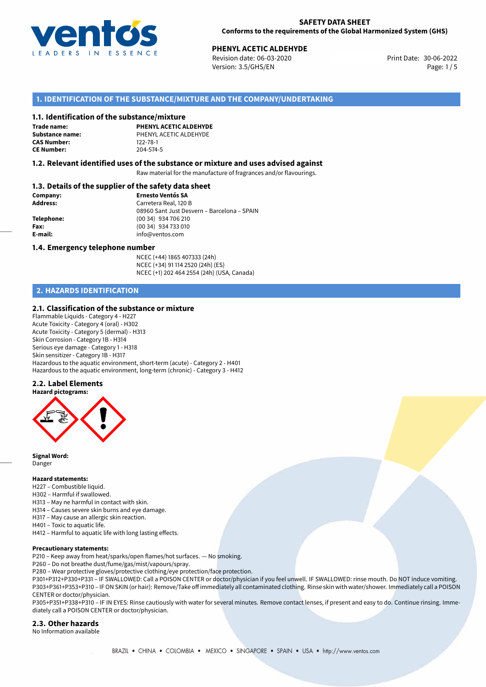

# **PHENYL ACETIC ALDEHYDE**<br>30-06-2022 **Print Date: 30-06-2022** Print Date: 30-06-2022

Revision date: 06-03-2020 Version: 3.5/GHS/EN Page: 1/5

### **1. IDENTIFICATION OF THE SUBSTANCE/MIXTURE AND THE COMPANY/UNDERTAKING**

#### **1.1. Identification of the substance/mixture**

**Trade name: CAS Number: CE Number:** 204-574-5

**PHENYL ACETIC ALDEHYDE Substance name:** PHENYL ACETIC ALDEHYDE<br> **CAS Number:** 122-78-1

#### **1.2. Relevant identified uses of the substance or mixture and uses advised against**

Raw material for the manufacture of fragrances and/or flavourings.

#### **1.3. Details of the supplier of the safety data sheet**

| Company:        | <b>Ernesto Ventós SA</b>                    |
|-----------------|---------------------------------------------|
| <b>Address:</b> | Carretera Real, 120 B                       |
|                 | 08960 Sant Just Desvern - Barcelona - SPAIN |
| Telephone:      | (00 34) 934 706 210                         |
| Fax:            | (00 34) 934 733 010                         |
| E-mail:         | info@ventos.com                             |
|                 |                                             |

#### **1.4. Emergency telephone number**

NCEC (+44) 1865 407333 (24h) NCEC (+34) 91 114 2520 (24h) (ES) NCEC (+1) 202 464 2554 (24h) (USA, Canada)

# **2. HAZARDS IDENTIFICATION**

#### **2.1. Classification of the substance or mixture**

Flammable Liquids - Category 4 - H227 Acute Toxicity - Category 4 (oral) - H302 Acute Toxicity - Category 5 (dermal) - H313 Skin Corrosion - Category 1B - H314 Serious eye damage - Category 1 - H318 Skin sensitizer - Category 1B - H317 Hazardous to the aquatic environment, short-term (acute) - Category 2 - H401 Hazardous to the aquatic environment, long-term (chronic) - Category 3 - H412

#### **2.2. Label Elements**



**Signal Word:** Danger

#### **Hazard statements:**

- H227 Combustible liquid.
- H302 Harmful if swallowed.
- H313 May ne harmful in contact with skin.
- H314 Causes severe skin burns and eye damage.
- H317 May cause an allergic skin reaction.
- H401 Toxic to aquatic life.

H412 – Harmful to aquatic life with long lasting effects.

#### **Precautionary statements:**

- P210 Keep away from heat/sparks/open flames/hot surfaces. No smoking.
- P260 Do not breathe dust/fume/gas/mist/vapours/spray.
- P280 Wear protective gloves/protective clothing/eye protection/face protection.

P301+P312+P330+P331 – IF SWALLOWED: Call a POISON CENTER or doctor/physician if you feel unwell. IF SWALLOWED: rinse mouth. Do NOT induce vomiting. P303+P361+P353+P310 – IF ON SKIN (or hair): Remove/Take off immediately all contaminated clothing. Rinse skin with water/shower. Immediately call a POISON CENTER or doctor/physician.

P305+P351+P338+P310 – IF IN EYES: Rinse cautiously with water for several minutes. Remove contact lenses, if present and easy to do. Continue rinsing. Immediately call a POISON CENTER or doctor/physician.

# **2.3. Other hazards**

No Information available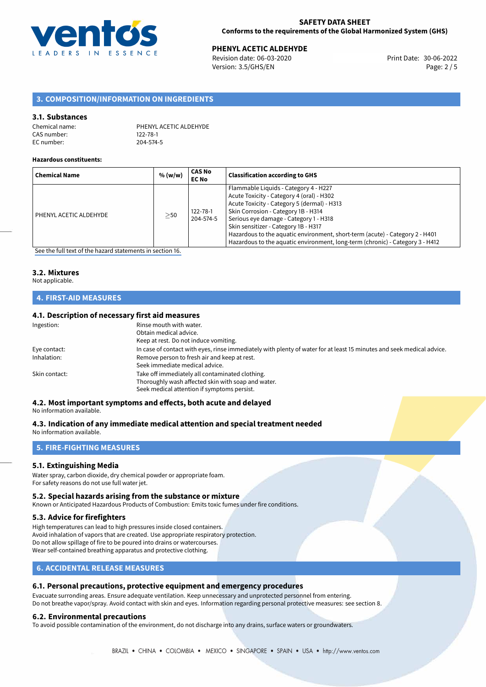

**PHENYL ACETIC ALDEHYDE**<br>
Revision date: 06-03-2020 **Print Date: 30-06-2022** Version: 3.5/GHS/EN Page: 2 / 5

# **3. COMPOSITION/INFORMATION ON INGREDIENTS**

#### **3.1. Substances**

| Chemical name: | PHENYL ACETIC ALDEHYDE |
|----------------|------------------------|
| CAS number:    | 122-78-1               |
| EC number:     | 204-574-5              |

#### **Hazardous constituents:**

| <b>Chemical Name</b>   | % (w/w)   | <b>CAS No</b><br><b>EC No</b> | <b>Classification according to GHS</b>                                                                                                                                                                                                                                                                                                                                                                                      |
|------------------------|-----------|-------------------------------|-----------------------------------------------------------------------------------------------------------------------------------------------------------------------------------------------------------------------------------------------------------------------------------------------------------------------------------------------------------------------------------------------------------------------------|
| PHENYL ACETIC ALDEHYDE | $\geq$ 50 | 122-78-1<br>204-574-5         | Flammable Liquids - Category 4 - H227<br>Acute Toxicity - Category 4 (oral) - H302<br>Acute Toxicity - Category 5 (dermal) - H313<br>Skin Corrosion - Category 1B - H314<br>Serious eye damage - Category 1 - H318<br>Skin sensitizer - Category 1B - H317<br>Hazardous to the aquatic environment, short-term (acute) - Category 2 - H401<br>Hazardous to the aquatic environment, long-term (chronic) - Category 3 - H412 |

[See the full text of the hazard statements in section 16.](#page-4-0)

# **3.2. Mixtures**

#### Not applicable.

### **4. FIRST-AID MEASURES**

#### **4.1. Description of necessary first aid measures**

| In case of contact with eyes, rinse immediately with plenty of water for at least 15 minutes and seek medical advice. |
|-----------------------------------------------------------------------------------------------------------------------|
|                                                                                                                       |
|                                                                                                                       |
|                                                                                                                       |
|                                                                                                                       |
|                                                                                                                       |
|                                                                                                                       |

# **4.2. Most important symptoms and effects, both acute and delayed**

No information available.

# **4.3. Indication of any immediate medical attention and special treatment needed**

No information available.

# **5. FIRE-FIGHTING MEASURES**

#### **5.1. Extinguishing Media**

Water spray, carbon dioxide, dry chemical powder or appropriate foam. For safety reasons do not use full water jet.

#### **5.2. Special hazards arising from the substance or mixture**

Known or Anticipated Hazardous Products of Combustion: Emits toxic fumes under fire conditions.

#### **5.3. Advice for firefighters**

High temperatures can lead to high pressures inside closed containers. Avoid inhalation of vapors that are created. Use appropriate respiratory protection. Do not allow spillage of fire to be poured into drains or watercourses. Wear self-contained breathing apparatus and protective clothing.

### **6. ACCIDENTAL RELEASE MEASURES**

#### **6.1. Personal precautions, protective equipment and emergency procedures**

Evacuate surronding areas. Ensure adequate ventilation. Keep unnecessary and unprotected personnel from entering. Do not breathe vapor/spray. Avoid contact with skin and eyes. Information regarding personal protective measures: see section 8.

#### **6.2. Environmental precautions**

To avoid possible contamination of the environment, do not discharge into any drains, surface waters or groundwaters.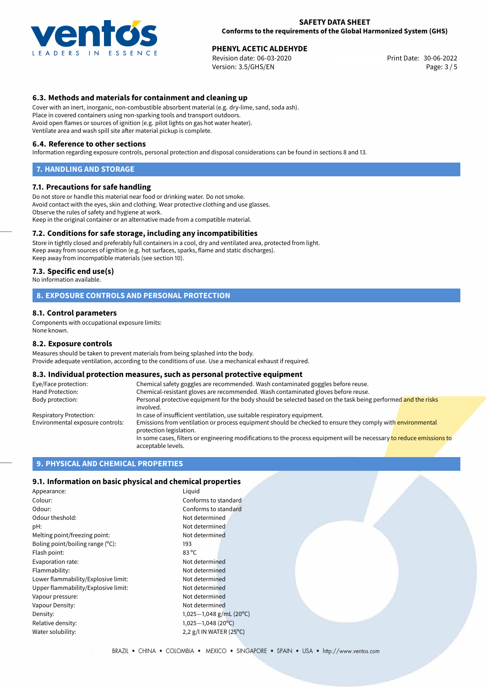

**PHENYL ACETIC ALDEHYDE**<br>
Revision date: 06-03-2020 **Print Date: 30-06-2022** Version: 3.5/GHS/EN Page: 3 / 5

### **6.3. Methods and materials for containment and cleaning up**

Cover with an inert, inorganic, non-combustible absorbent material (e.g. dry-lime, sand, soda ash). Place in covered containers using non-sparking tools and transport outdoors. Avoid open flames or sources of ignition (e.g. pilot lights on gas hot water heater). Ventilate area and wash spill site after material pickup is complete.

#### **6.4. Reference to other sections**

Information regarding exposure controls, personal protection and disposal considerations can be found in sections 8 and 13.

#### **7. HANDLING AND STORAGE**

#### **7.1. Precautions for safe handling**

Do not store or handle this material near food or drinking water. Do not smoke. Avoid contact with the eyes, skin and clothing. Wear protective clothing and use glasses. Observe the rules of safety and hygiene at work. Keep in the original container or an alternative made from a compatible material.

#### **7.2. Conditions for safe storage, including any incompatibilities**

Store in tightly closed and preferably full containers in a cool, dry and ventilated area, protected from light. Keep away from sources of ignition (e.g. hot surfaces, sparks, flame and static discharges). Keep away from incompatible materials (see section 10).

#### **7.3. Specific end use(s)**

No information available.

#### **8. EXPOSURE CONTROLS AND PERSONAL PROTECTION**

#### **8.1. Control parameters**

Components with occupational exposure limits: None known.

#### **8.2. Exposure controls**

Measures should be taken to prevent materials from being splashed into the body. Provide adequate ventilation, according to the conditions of use. Use a mechanical exhaust if required.

#### **8.3. Individual protection measures, such as personal protective equipment**

| Eye/Face protection:             | Chemical safety goggles are recommended. Wash contaminated goggles before reuse.                                                            |  |  |
|----------------------------------|---------------------------------------------------------------------------------------------------------------------------------------------|--|--|
| Hand Protection:                 | Chemical-resistant gloves are recommended. Wash contaminated gloves before reuse.                                                           |  |  |
| Body protection:                 | Personal protective equipment for the body should be selected based on the task being performed and the risks<br>involved.                  |  |  |
| Respiratory Protection:          | In case of insufficient ventilation, use suitable respiratory equipment.                                                                    |  |  |
| Environmental exposure controls: | Emissions from ventilation or process equipment should be checked to ensure they comply with environmental<br>protection legislation.       |  |  |
|                                  | In some cases, filters or engineering modifications to the process equipment will be necessary to reduce emissions to<br>acceptable levels. |  |  |

#### **9. PHYSICAL AND CHEMICAL PROPERTIES**

### **9.1. Information on basic physical and chemical properties**

| Appearance:                         | Liquid                             |  |
|-------------------------------------|------------------------------------|--|
| Colour:                             | Conforms to standard               |  |
| Odour:                              | Conforms to standard               |  |
| Odour theshold:                     | Not determined                     |  |
| pH:                                 | Not determined                     |  |
| Melting point/freezing point:       | Not determined                     |  |
| Boling point/boiling range (°C):    | 193                                |  |
| Flash point:                        | 83 °C                              |  |
| Evaporation rate:                   | Not determined                     |  |
| Flammability:                       | Not determined                     |  |
| Lower flammability/Explosive limit: | Not determined                     |  |
| Upper flammability/Explosive limit: | Not determined                     |  |
| Vapour pressure:                    | Not determined                     |  |
| Vapour Density:                     | Not determined                     |  |
| Density:                            | 1,025-1,048 g/mL (20°C)            |  |
| Relative density:                   | $1,025-1,048(20^{\circ}C)$         |  |
| Water solubility:                   | 2,2 g/l IN WATER (25 $^{\circ}$ C) |  |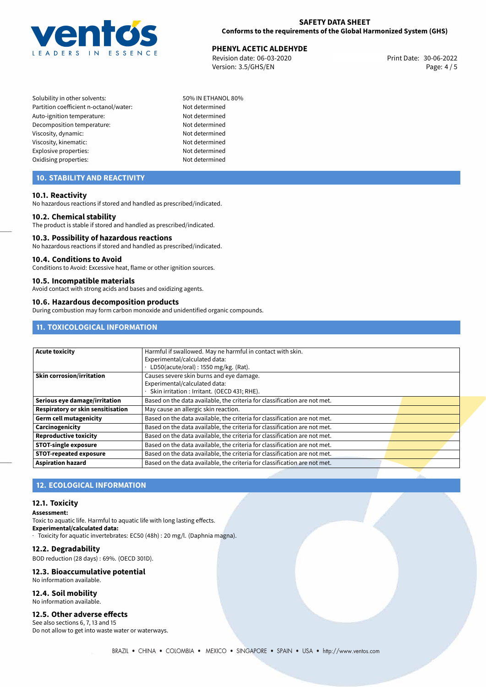

**PHENYL ACETIC ALDEHYDE**<br>30-06-2022 **Print Date: 30-06-2022** Print Date: 30-06-2022 Revision date: 06-03-2020 Version: 3.5/GHS/EN Page: 4 / 5

Solubility in other solvents: 50% IN ETHANOL 80% Partition coefficient n-octanol/water: Not determined Auto-ignition temperature: Not determined Decomposition temperature: Not determined Viscosity, dynamic: Not determined Viscosity, kinematic: Not determined Explosive properties: Not determined Oxidising properties: Not determined

# **10. STABILITY AND REACTIVITY**

#### **10.1. Reactivity**

No hazardous reactions if stored and handled as prescribed/indicated.

#### **10.2. Chemical stability**

The product is stable if stored and handled as prescribed/indicated.

#### **10.3. Possibility of hazardous reactions**

No hazardous reactions if stored and handled as prescribed/indicated.

#### **10.4. Conditions to Avoid**

Conditions to Avoid: Excessive heat, flame or other ignition sources.

#### **10.5. Incompatible materials**

Avoid contact with strong acids and bases and oxidizing agents.

#### **10.6. Hazardous decomposition products**

During combustion may form carbon monoxide and unidentified organic compounds.

# **11. TOXICOLOGICAL INFORMATION**

| Acute toxicity                    | Harmful if swallowed. May ne harmful in contact with skin.                |
|-----------------------------------|---------------------------------------------------------------------------|
|                                   | Experimental/calculated data:                                             |
|                                   | LD50(acute/oral): 1550 mg/kg. (Rat).                                      |
| <b>Skin corrosion/irritation</b>  | Causes severe skin burns and eye damage.                                  |
|                                   | Experimental/calculated data:                                             |
|                                   | Skin irritation : Irritant. (OECD 431; RHE).                              |
| Serious eye damage/irritation     | Based on the data available, the criteria for classification are not met. |
| Respiratory or skin sensitisation | May cause an allergic skin reaction.                                      |
| <b>Germ cell mutagenicity</b>     | Based on the data available, the criteria for classification are not met. |
| Carcinogenicity                   | Based on the data available, the criteria for classification are not met. |
| <b>Reproductive toxicity</b>      | Based on the data available, the criteria for classification are not met. |
| <b>STOT-single exposure</b>       | Based on the data available, the criteria for classification are not met. |
| <b>STOT-repeated exposure</b>     | Based on the data available, the criteria for classification are not met. |
| <b>Aspiration hazard</b>          | Based on the data available, the criteria for classification are not met. |

# **12. ECOLOGICAL INFORMATION**

#### **12.1. Toxicity**

**Assessment:**

Toxic to aquatic life. Harmful to aquatic life with long lasting effects. **Experimental/calculated data:** · Toxicity for aquatic invertebrates: EC50 (48h) : 20 mg/l. (Daphnia magna).

#### **12.2. Degradability**

BOD reduction (28 days) : 69%. (OECD 301D).

#### **12.3. Bioaccumulative potential**

No information available.

# **12.4. Soil mobility**

No information available.

#### **12.5. Other adverse effects**

See also sections 6, 7, 13 and 15 Do not allow to get into waste water or waterways.